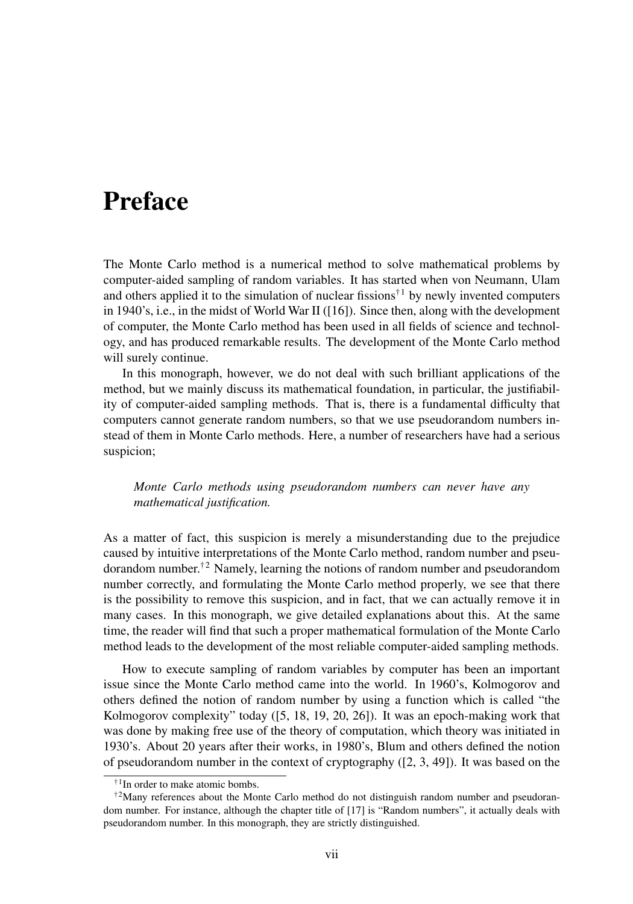## Preface

The Monte Carlo method is a numerical method to solve mathematical problems by computer-aided sampling of random variables. It has started when von Neumann, Ulam and others applied it to the simulation of nuclear fissions<sup>†1</sup> by newly invented computers in 1940's, i.e., in the midst of World War II ([16]). Since then, along with the development of computer, the Monte Carlo method has been used in all fields of science and technology, and has produced remarkable results. The development of the Monte Carlo method will surely continue.

In this monograph, however, we do not deal with such brilliant applications of the method, but we mainly discuss its mathematical foundation, in particular, the justifiability of computer-aided sampling methods. That is, there is a fundamental difficulty that computers cannot generate random numbers, so that we use pseudorandom numbers instead of them in Monte Carlo methods. Here, a number of researchers have had a serious suspicion;

## *Monte Carlo methods using pseudorandom numbers can never have any mathematical justification.*

As a matter of fact, this suspicion is merely a misunderstanding due to the prejudice caused by intuitive interpretations of the Monte Carlo method, random number and pseudorandom number.<sup>†2</sup> Namely, learning the notions of random number and pseudorandom number correctly, and formulating the Monte Carlo method properly, we see that there is the possibility to remove this suspicion, and in fact, that we can actually remove it in many cases. In this monograph, we give detailed explanations about this. At the same time, the reader will find that such a proper mathematical formulation of the Monte Carlo method leads to the development of the most reliable computer-aided sampling methods.

How to execute sampling of random variables by computer has been an important issue since the Monte Carlo method came into the world. In 1960's, Kolmogorov and others defined the notion of random number by using a function which is called "the Kolmogorov complexity" today ([5, 18, 19, 20, 26]). It was an epoch-making work that was done by making free use of the theory of computation, which theory was initiated in 1930's. About 20 years after their works, in 1980's, Blum and others defined the notion of pseudorandom number in the context of cryptography ([2, 3, 49]). It was based on the

<sup>&</sup>lt;sup>†1</sup>In order to make atomic bombs.

 $\textsuperscript{+2}$ Many references about the Monte Carlo method do not distinguish random number and pseudorandom number. For instance, although the chapter title of [17] is "Random numbers", it actually deals with pseudorandom number. In this monograph, they are strictly distinguished.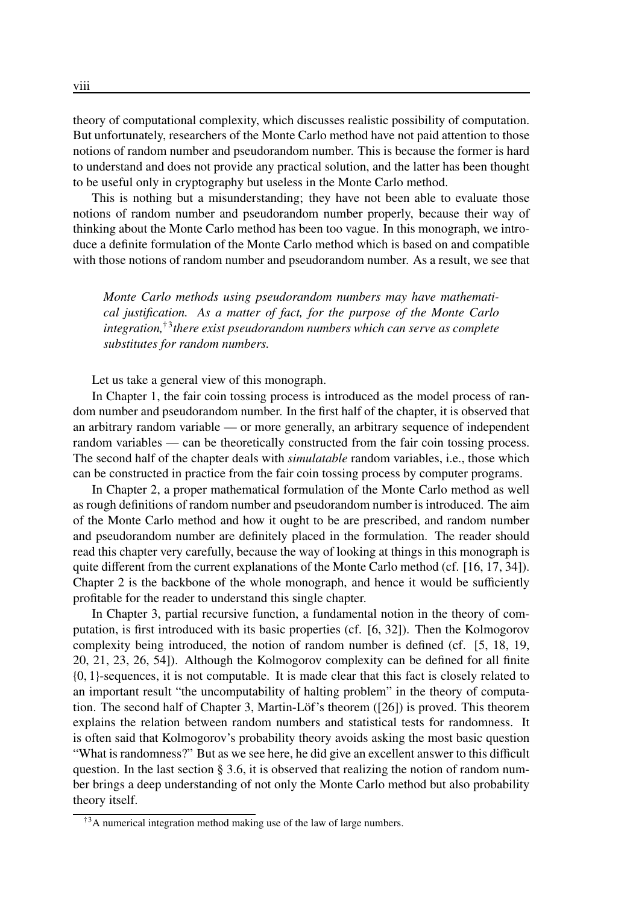theory of computational complexity, which discusses realistic possibility of computation. But unfortunately, researchers of the Monte Carlo method have not paid attention to those notions of random number and pseudorandom number. This is because the former is hard to understand and does not provide any practical solution, and the latter has been thought to be useful only in cryptography but useless in the Monte Carlo method.

This is nothing but a misunderstanding; they have not been able to evaluate those notions of random number and pseudorandom number properly, because their way of thinking about the Monte Carlo method has been too vague. In this monograph, we introduce a definite formulation of the Monte Carlo method which is based on and compatible with those notions of random number and pseudorandom number. As a result, we see that

*Monte Carlo methods using pseudorandom numbers may have mathematical justification. As a matter of fact, for the purpose of the Monte Carlo integration,*†<sup>3</sup> *there exist pseudorandom numbers which can serve as complete substitutes for random numbers.*

Let us take a general view of this monograph.

In Chapter 1, the fair coin tossing process is introduced as the model process of random number and pseudorandom number. In the first half of the chapter, it is observed that an arbitrary random variable — or more generally, an arbitrary sequence of independent random variables — can be theoretically constructed from the fair coin tossing process. The second half of the chapter deals with *simulatable* random variables, i.e., those which can be constructed in practice from the fair coin tossing process by computer programs.

In Chapter 2, a proper mathematical formulation of the Monte Carlo method as well as rough definitions of random number and pseudorandom number is introduced. The aim of the Monte Carlo method and how it ought to be are prescribed, and random number and pseudorandom number are definitely placed in the formulation. The reader should read this chapter very carefully, because the way of looking at things in this monograph is quite different from the current explanations of the Monte Carlo method (cf. [16, 17, 34]). Chapter 2 is the backbone of the whole monograph, and hence it would be sufficiently profitable for the reader to understand this single chapter.

In Chapter 3, partial recursive function, a fundamental notion in the theory of computation, is first introduced with its basic properties (cf. [6, 32]). Then the Kolmogorov complexity being introduced, the notion of random number is defined (cf. [5, 18, 19, 20, 21, 23, 26, 54]). Although the Kolmogorov complexity can be defined for all finite {0, 1}-sequences, it is not computable. It is made clear that this fact is closely related to an important result "the uncomputability of halting problem" in the theory of computation. The second half of Chapter 3, Martin-Löf's theorem  $(26)$  is proved. This theorem explains the relation between random numbers and statistical tests for randomness. It is often said that Kolmogorov's probability theory avoids asking the most basic question "What is randomness?" But as we see here, he did give an excellent answer to this difficult question. In the last section  $\S 3.6$ , it is observed that realizing the notion of random number brings a deep understanding of not only the Monte Carlo method but also probability theory itself.

<sup>&</sup>lt;sup>†3</sup>A numerical integration method making use of the law of large numbers.